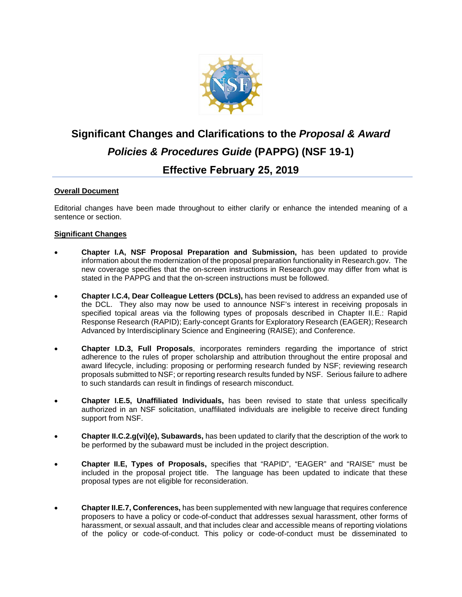

## **Significant Changes and Clarifications to the** *Proposal & Award Policies & Procedures Guide* **(PAPPG) (NSF 19-1) Effective February 25, 2019**

## **Overall Document**

Editorial changes have been made throughout to either clarify or enhance the intended meaning of a sentence or section.

## **Significant Changes**

- **Chapter I.A, NSF Proposal Preparation and Submission,** has been updated to provide information about the modernization of the proposal preparation functionality in Research.gov. The new coverage specifies that the on-screen instructions in Research.gov may differ from what is stated in the PAPPG and that the on-screen instructions must be followed.
- **Chapter I.C.4, Dear Colleague Letters (DCLs),** has been revised to address an expanded use of the DCL. They also may now be used to announce NSF's interest in receiving proposals in specified topical areas via the following types of proposals described in Chapter II.E.: Rapid Response Research (RAPID); Early-concept Grants for Exploratory Research (EAGER); Research Advanced by Interdisciplinary Science and Engineering (RAISE); and Conference.
- **Chapter I.D.3, Full Proposals**, incorporates reminders regarding the importance of strict adherence to the rules of proper scholarship and attribution throughout the entire proposal and award lifecycle, including: proposing or performing research funded by NSF; reviewing research proposals submitted to NSF; or reporting research results funded by NSF. Serious failure to adhere to such standards can result in findings of research misconduct.
- **Chapter I.E.5, Unaffiliated Individuals,** has been revised to state that unless specifically authorized in an NSF solicitation, unaffiliated individuals are ineligible to receive direct funding support from NSF.
- **Chapter II.C.2.g(vi)(e), Subawards,** has been updated to clarify that the description of the work to be performed by the subaward must be included in the project description.
- **Chapter II.E, Types of Proposals,** specifies that "RAPID", "EAGER" and "RAISE" must be included in the proposal project title. The language has been updated to indicate that these proposal types are not eligible for reconsideration.
- **Chapter II.E.7, Conferences,** has been supplemented with new language that requires conference proposers to have a policy or code-of-conduct that addresses sexual harassment, other forms of harassment, or sexual assault, and that includes clear and accessible means of reporting violations of the policy or code-of-conduct. This policy or code-of-conduct must be disseminated to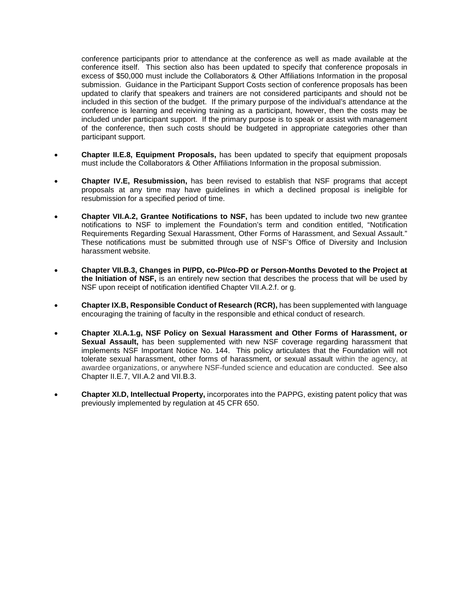conference participants prior to attendance at the conference as well as made available at the conference itself. This section also has been updated to specify that conference proposals in excess of \$50,000 must include the Collaborators & Other Affiliations Information in the proposal submission. Guidance in the Participant Support Costs section of conference proposals has been updated to clarify that speakers and trainers are not considered participants and should not be included in this section of the budget. If the primary purpose of the individual's attendance at the conference is learning and receiving training as a participant, however, then the costs may be included under participant support. If the primary purpose is to speak or assist with management of the conference, then such costs should be budgeted in appropriate categories other than participant support.

- **Chapter II.E.8, Equipment Proposals,** has been updated to specify that equipment proposals must include the Collaborators & Other Affiliations Information in the proposal submission.
- **Chapter IV.E, Resubmission,** has been revised to establish that NSF programs that accept proposals at any time may have guidelines in which a declined proposal is ineligible for resubmission for a specified period of time.
- **Chapter VII.A.2, Grantee Notifications to NSF,** has been updated to include two new grantee notifications to NSF to implement the Foundation's term and condition entitled, "Notification Requirements Regarding Sexual Harassment, Other Forms of Harassment, and Sexual Assault." These notifications must be submitted through use of NSF's Office of Diversity and Inclusion harassment website.
- **Chapter VII.B.3, Changes in PI/PD, co-PI/co-PD or Person-Months Devoted to the Project at the Initiation of NSF,** is an entirely new section that describes the process that will be used by NSF upon receipt of notification identified Chapter VII.A.2.f. or g.
- **Chapter IX.B, Responsible Conduct of Research (RCR),** has been supplemented with language encouraging the training of faculty in the responsible and ethical conduct of research.
- **Chapter XI.A.1.g, NSF Policy on Sexual Harassment and Other Forms of Harassment, or Sexual Assault,** has been supplemented with new NSF coverage regarding harassment that implements NSF Important Notice No. 144. This policy articulates that the Foundation [will not](https://www.nsf.gov/news/news_summ.jsp?cntn_id=137466)  [tolerate sexual harassment, other forms of harassment,](https://www.nsf.gov/news/news_summ.jsp?cntn_id=137466) or sexual assault within the agency, at awardee organizations, or anywhere NSF-funded science and education are conducted. See also Chapter II.E.7, VII.A.2 and VII.B.3.
- **Chapter XI.D, Intellectual Property,** incorporates into the PAPPG, existing patent policy that was previously implemented by regulation at 45 CFR 650.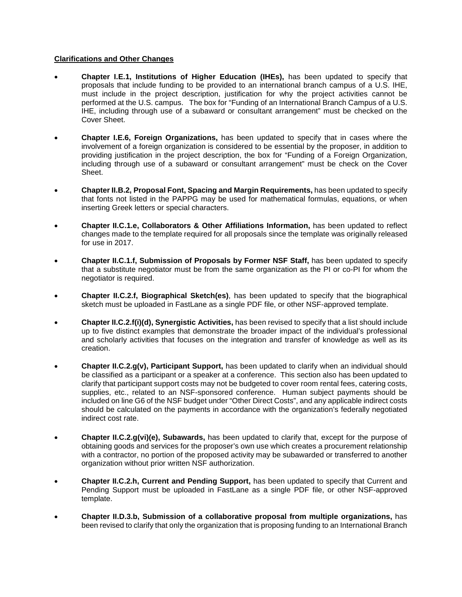## **Clarifications and Other Changes**

- **Chapter I.E.1, Institutions of Higher Education (IHEs),** has been updated to specify that proposals that include funding to be provided to an international branch campus of a U.S. IHE, must include in the project description, justification for why the project activities cannot be performed at the U.S. campus. The box for "Funding of an International Branch Campus of a U.S. IHE, including through use of a subaward or consultant arrangement" must be checked on the Cover Sheet.
- **Chapter I.E.6, Foreign Organizations,** has been updated to specify that in cases where the involvement of a foreign organization is considered to be essential by the proposer, in addition to providing justification in the project description, the box for "Funding of a Foreign Organization, including through use of a subaward or consultant arrangement" must be check on the Cover Sheet.
- **Chapter II.B.2, Proposal Font, Spacing and Margin Requirements,** has been updated to specify that fonts not listed in the PAPPG may be used for mathematical formulas, equations, or when inserting Greek letters or special characters.
- **Chapter II.C.1.e, Collaborators & Other Affiliations Information,** has been updated to reflect changes made to the template required for all proposals since the template was originally released for use in 2017.
- **Chapter II.C.1.f, Submission of Proposals by Former NSF Staff,** has been updated to specify that a substitute negotiator must be from the same organization as the PI or co-PI for whom the negotiator is required.
- **Chapter II.C.2.f, Biographical Sketch(es)**, has been updated to specify that the biographical sketch must be uploaded in FastLane as a single PDF file, or other NSF-approved template.
- **Chapter II.C.2.f(i)(d), Synergistic Activities,** has been revised to specify that a list should include up to five distinct examples that demonstrate the broader impact of the individual's professional and scholarly activities that focuses on the integration and transfer of knowledge as well as its creation.
- **Chapter II.C.2.g(v), Participant Support,** has been updated to clarify when an individual should be classified as a participant or a speaker at a conference. This section also has been updated to clarify that participant support costs may not be budgeted to cover room rental fees, catering costs, supplies, etc., related to an NSF-sponsored conference. Human subject payments should be included on line G6 of the NSF budget under "Other Direct Costs", and any applicable indirect costs should be calculated on the payments in accordance with the organization's federally negotiated indirect cost rate.
- **Chapter II.C.2.g(vi)(e), Subawards,** has been updated to clarify that, except for the purpose of obtaining goods and services for the proposer's own use which creates a procurement relationship with a contractor, no portion of the proposed activity may be subawarded or transferred to another organization without prior written NSF authorization.
- **Chapter II.C.2.h, Current and Pending Support,** has been updated to specify that Current and Pending Support must be uploaded in FastLane as a single PDF file, or other NSF-approved template.
- **Chapter II.D.3.b, Submission of a collaborative proposal from multiple organizations,** has been revised to clarify that only the organization that is proposing funding to an International Branch